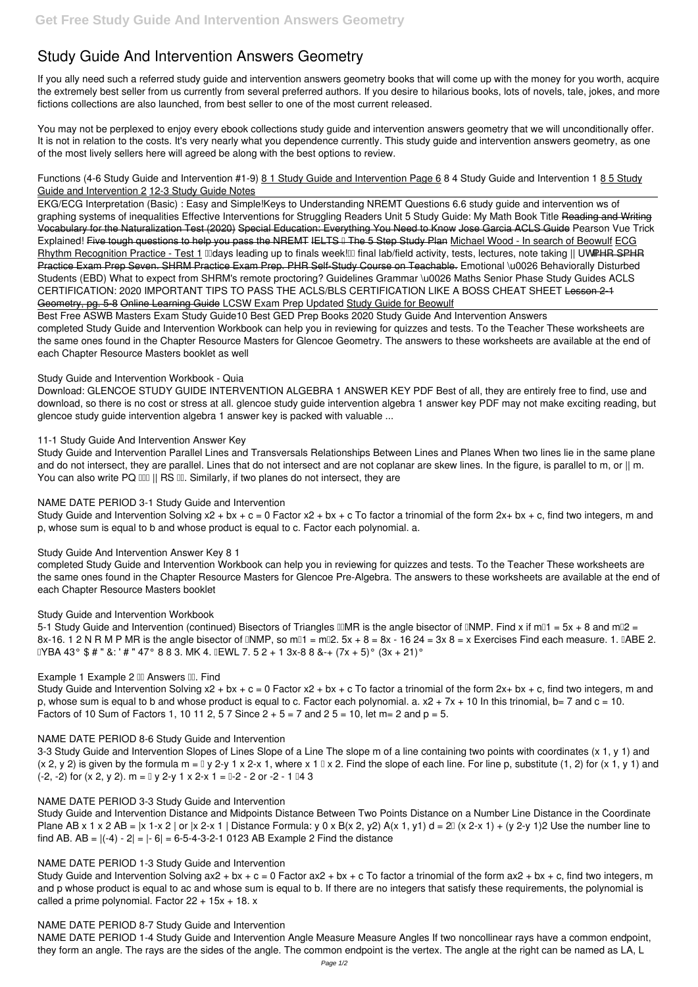# **Study Guide And Intervention Answers Geometry**

If you ally need such a referred **study guide and intervention answers geometry** books that will come up with the money for you worth, acquire the extremely best seller from us currently from several preferred authors. If you desire to hilarious books, lots of novels, tale, jokes, and more fictions collections are also launched, from best seller to one of the most current released.

You may not be perplexed to enjoy every ebook collections study guide and intervention answers geometry that we will unconditionally offer. It is not in relation to the costs. It's very nearly what you dependence currently. This study guide and intervention answers geometry, as one of the most lively sellers here will agreed be along with the best options to review.

*Functions (4-6 Study Guide and Intervention #1-9)* 8 1 Study Guide and Intervention Page 6 *8 4 Study Guide and Intervention 1* 8 5 Study Guide and Intervention 2 12-3 Study Guide Notes

Study Guide and Intervention Parallel Lines and Transversals Relationships Between Lines and Planes When two lines lie in the same plane and do not intersect, they are parallel. Lines that do not intersect and are not coplanar are skew lines. In the figure, is parallel to m, or || m. You can also write PQ DD || RS DD. Similarly, if two planes do not intersect, they are

EKG/ECG Interpretation (Basic) : Easy and Simple!**Keys to Understanding NREMT Questions** *6.6 study guide and intervention ws of graphing systems of inequalities Effective Interventions for Struggling Readers Unit 5 Study Guide: My Math Book Title* Reading and Writing Vocabulary for the Naturalization Test (2020) Special Education: Everything You Need to Know Jose Garcia ACLS Guide Pearson Vue Trick Explained! Five tough questions to help you pass the NREMT IELTS II The 5 Step Study Plan Michael Wood - In search of Beowulf ECG Rhythm Recognition Practice - Test 1 *IIIdays leading up to finals week!<sup>III</sup> final lab/field activity, tests, lectures, note taking || UWPHR SPHR* Practice Exam Prep Seven. SHRM Practice Exam Prep. PHR Self-Study Course on Teachable. *Emotional \u0026 Behaviorally Disturbed Students (EBD) What to expect from SHRM's remote proctoring?* **Guidelines Grammar \u0026 Maths Senior Phase Study Guides** *ACLS CERTIFICATION: 2020 IMPORTANT TIPS TO PASS THE ACLS/BLS CERTIFICATION LIKE A BOSS CHEAT SHEET* Lesson 2-1 Geometry, pg. 5-8 Online Learning Guide *LCSW Exam Prep Updated* Study Guide for Beowulf

Study Guide and Intervention Solving  $x^2 + bx + c = 0$  Factor  $x^2 + bx + c$  To factor a trinomial of the form  $2x + bx + c$ , find two integers, m and p, whose sum is equal to b and whose product is equal to c. Factor each polynomial. a.

Best Free ASWB Masters Exam Study Guide**10 Best GED Prep Books 2020** *Study Guide And Intervention Answers* completed Study Guide and Intervention Workbook can help you in reviewing for quizzes and tests. To the Teacher These worksheets are the same ones found in the Chapter Resource Masters for Glencoe Geometry. The answers to these worksheets are available at the end of each Chapter Resource Masters booklet as well

3-3 Study Guide and Intervention Slopes of Lines Slope of a Line The slope m of a line containing two points with coordinates (x 1, y 1) and (x 2, y 2) is given by the formula m =  $\sqrt{2}$  y 1 x 2-x 1, where x 1  $\sqrt{2}$ . Find the slope of each line. For line p, substitute (1, 2) for (x 1, y 1) and  $(-2, -2)$  for  $(x 2, y 2)$ . m =  $[y 2-y 1 x 2-x 1 = 0-2 - 2$  or  $-2 - 1 = 4$  3

# *Study Guide and Intervention Workbook - Quia*

Study Guide and Intervention Distance and Midpoints Distance Between Two Points Distance on a Number Line Distance in the Coordinate Plane AB x 1 x 2 AB =  $|x 1-x 2|$  or  $|x 2-x 1|$  Distance Formula: y 0 x B(x 2, y2) A(x 1, y1) d =  $2\mathbb{I}$  (x 2-x 1) + (y 2-y 1)2 Use the number line to find AB. AB =  $|(-4) - 2| = |-6| = 6-5-4-3-2-1$  0123 AB Example 2 Find the distance

Download: GLENCOE STUDY GUIDE INTERVENTION ALGEBRA 1 ANSWER KEY PDF Best of all, they are entirely free to find, use and download, so there is no cost or stress at all. glencoe study guide intervention algebra 1 answer key PDF may not make exciting reading, but glencoe study guide intervention algebra 1 answer key is packed with valuable ...

# *11-1 Study Guide And Intervention Answer Key*

# *NAME DATE PERIOD 3-1 Study Guide and Intervention*

# *Study Guide And Intervention Answer Key 8 1*

completed Study Guide and Intervention Workbook can help you in reviewing for quizzes and tests. To the Teacher These worksheets are the same ones found in the Chapter Resource Masters for Glencoe Pre-Algebra. The answers to these worksheets are available at the end of each Chapter Resource Masters booklet

# *Study Guide and Intervention Workbook*

5-1 Study Guide and Intervention (continued) Bisectors of Triangles ⅢMR is the angle bisector of ⅡNMP. Find x if mⅡ1 = 5x + 8 and mⅡ2 = 8x-16. 1 2 N R M P MR is the angle bisector of DNMP, so mD1 = mD2.  $5x + 8 = 8x - 1624 = 3x8 = x$  Exercises Find each measure. 1. DABE 2.  $\text{IVBA } 43^{\circ}$  \$ # " &: ' # " 47° 8 8 3. MK 4.  $\text{IEWL } 7.52 + 13x - 888 - (7x + 5)^{\circ} (3x + 21)^{\circ}$ 

# **Example 1 Example 2 III Answers III. Find**

Study Guide and Intervention Solving  $x^2 + bx + c = 0$  Factor  $x^2 + bx + c$  To factor a trinomial of the form  $2x + bx + c$ , find two integers, m and p, whose sum is equal to b and whose product is equal to c. Factor each polynomial. a.  $x^2 + 7x + 10$  In this trinomial, b= 7 and c = 10. Factors of 10 Sum of Factors 1, 10 11 2, 5 7 Since  $2 + 5 = 7$  and  $25 = 10$ , let m= 2 and  $p = 5$ .

### *NAME DATE PERIOD 8-6 Study Guide and Intervention*

#### *NAME DATE PERIOD 3-3 Study Guide and Intervention*

#### *NAME DATE PERIOD 1-3 Study Guide and Intervention*

Study Guide and Intervention Solving  $ax2 + bx + c = 0$  Factor  $ax2 + bx + c$  To factor a trinomial of the form  $ax2 + bx + c$ , find two integers, m and p whose product is equal to ac and whose sum is equal to b. If there are no integers that satisfy these requirements, the polynomial is called a prime polynomial. Factor  $22 + 15x + 18$ . x

#### *NAME DATE PERIOD 8-7 Study Guide and Intervention*

NAME DATE PERIOD 1-4 Study Guide and Intervention Angle Measure Measure Angles If two noncollinear rays have a common endpoint, they form an angle. The rays are the sides of the angle. The common endpoint is the vertex. The angle at the right can be named as LA, L